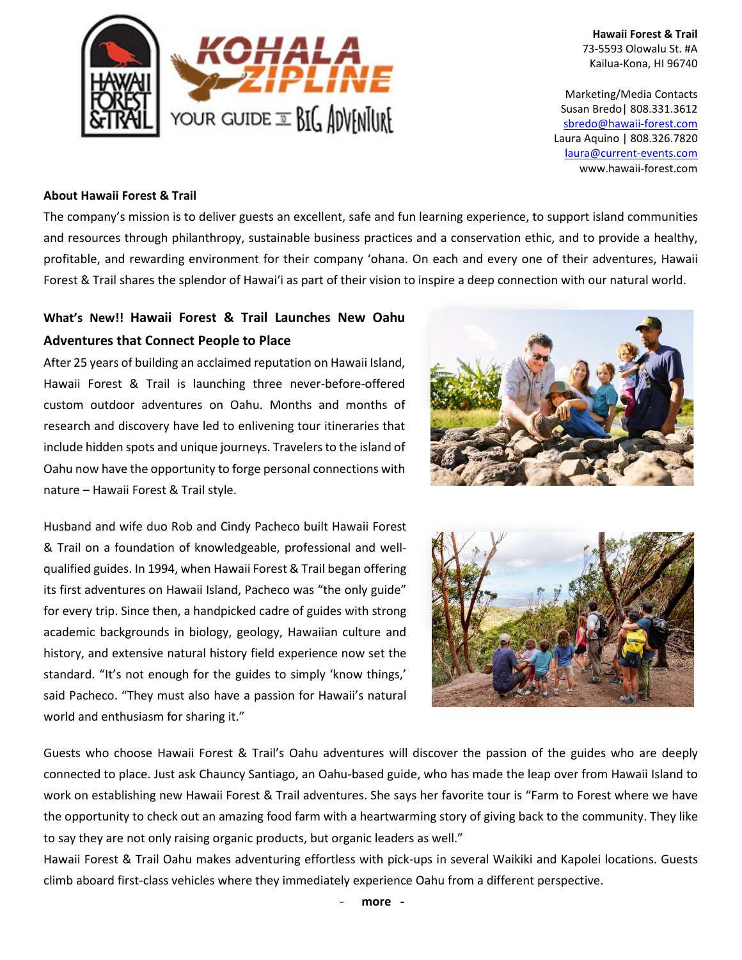

**Hawaii Forest & Trail** 73-5593 Olowalu St. #A Kailua-Kona, HI 96740

Marketing/Media Contacts Susan Bredo| 808.331.3612 [sbredo@hawaii-forest.com](mailto:sbredo@hawaii-forest.com) Laura Aquino | 808.326.7820 laura@current-events.com www.hawaii-forest.com

#### **About Hawaii Forest & Trail**

The company's mission is to deliver guests an excellent, safe and fun learning experience, to support island communities and resources through philanthropy, sustainable business practices and a conservation ethic, and to provide a healthy, profitable, and rewarding environment for their company 'ohana. On each and every one of their adventures, Hawaii Forest & Trail shares the splendor of Hawai'i as part of their vision to inspire a deep connection with our natural world.

# **What's New!! Hawaii Forest & Trail Launches New Oahu Adventures that Connect People to Place**

After 25 years of building an acclaimed reputation on Hawaii Island, Hawaii Forest & Trail is launching three never-before-offered custom outdoor adventures on Oahu. Months and months of research and discovery have led to enlivening tour itineraries that include hidden spots and unique journeys. Travelers to the island of Oahu now have the opportunity to forge personal connections with nature – Hawaii Forest & Trail style.



Husband and wife duo Rob and Cindy Pacheco built Hawaii Forest & Trail on a foundation of knowledgeable, professional and wellqualified guides. In 1994, when Hawaii Forest & Trail began offering its first adventures on Hawaii Island, Pacheco was "the only guide" for every trip. Since then, a handpicked cadre of guides with strong academic backgrounds in biology, geology, Hawaiian culture and history, and extensive natural history field experience now set the standard. "It's not enough for the guides to simply 'know things,' said Pacheco. "They must also have a passion for Hawaii's natural world and enthusiasm for sharing it."



Guests who choose Hawaii Forest & Trail's Oahu adventures will discover the passion of the guides who are deeply connected to place. Just ask Chauncy Santiago, an Oahu-based guide, who has made the leap over from Hawaii Island to work on establishing new Hawaii Forest & Trail adventures. She says her favorite tour is "Farm to Forest where we have the opportunity to check out an amazing food farm with a heartwarming story of giving back to the community. They like to say they are not only raising organic products, but organic leaders as well."

Hawaii Forest & Trail Oahu makes adventuring effortless with pick-ups in several Waikiki and Kapolei locations. Guests climb aboard first-class vehicles where they immediately experience Oahu from a different perspective.